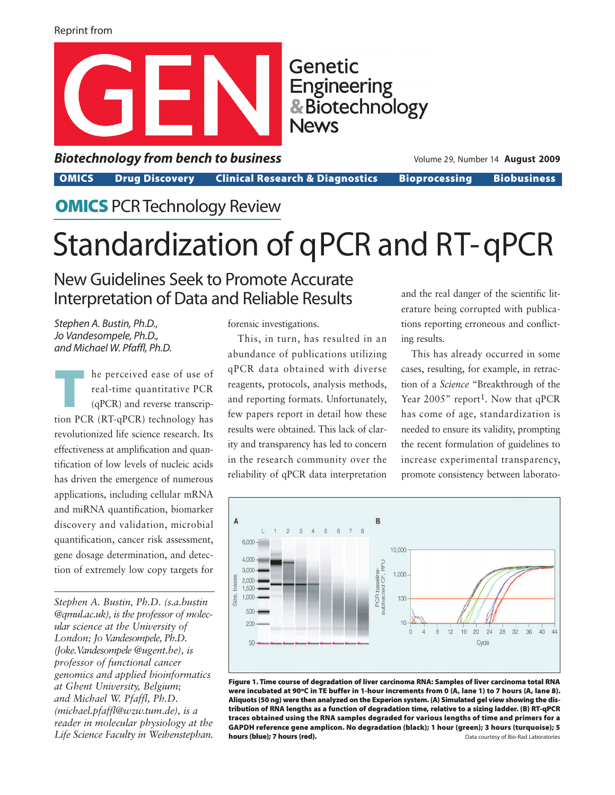

Genetic Engineering &Biotechnology **News** 

**Biotechnology from bench to business**

Volume 29, Number 14 **August 2009**

**OMICS Drug Discovery Clinical Research & Diagnostics Bioprocessing Biobusiness**

**OMICS** PCR Technology Review

# Standardization of qPCR and RT-qPCR

## New Guidelines Seek to Promote Accurate Interpretation of Data and Reliable Results

Stephen A. Bustin, Ph.D., Jo Vandesompele, Ph.D., and Michael W. Pfaffl, Ph.D.

**The perceived ease of use of<br>real-time quantitative PCR<br>(qPCR) and reverse transcrip-<br>tion PCP (PT qPCP) toohnology has** real-time quantitative PCR (qPCR) and reverse transcription PCR (RT-qPCR) technology has revolutionized life science research. Its effectiveness at amplification and quantification of low levels of nucleic acids has driven the emergence of numerous applications, including cellular mRNA and miRNA quantification, biomarker discovery and validation, microbial quantification, cancer risk assessment, gene dosage determination, and detection of extremely low copy targets for

*Stephen A. Bustin, Ph.D. (s.a.bustin @qmul.ac.uk), is the professor of molecular science at the University of London; Jo Vandesompele, Ph.D. (Joke.Vandesompele @ugent.be), is professor of functional cancer genomics and applied bioinformatics at Ghent University, Belgium; and Michael W. Pfaffl, Ph.D. (michael.pfaffl@wzw.tum.de), is a reader in molecular physiology at the Life Science Faculty in Weihenstephan.* forensic investigations.

This, in turn, has resulted in an abundance of publications utilizing qPCR data obtained with diverse reagents, protocols, analysis methods, and reporting formats. Unfortunately, few papers report in detail how these results were obtained. This lack of clarity and transparency has led to concern in the research community over the reliability of qPCR data interpretation

and the real danger of the scientific literature being corrupted with publications reporting erroneous and conflicting results.

This has already occurred in some cases, resulting, for example, in retraction of a *Science* "Breakthrough of the Year 2005" report<sup>1</sup>. Now that  $qPCR$ has come of age, standardization is needed to ensure its validity, prompting the recent formulation of guidelines to increase experimental transparency, promote consistency between laborato-



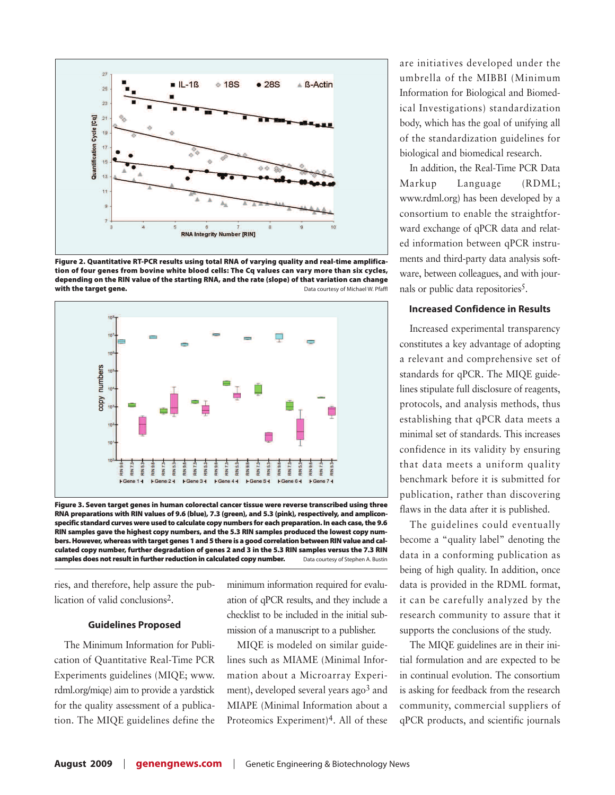

**Figure 2. Quantitative RT-PCR results using total RNA of varying quality and real-time amplification of four genes from bovine white blood cells: The Cq values can vary more than six cycles, depending on the RIN value of the starting RNA, and the rate (slope) of that variation can change with the target gene. Data courtesy of Michael W. Pfaffl** 



**Figure 3. Seven target genes in human colorectal cancer tissue were reverse transcribed using three RNA preparations with RIN values of 9.6 (blue), 7.3 (green), and 5.3 (pink), respectively, and ampliconspecific standard curves were used to calculate copy numbers for each preparation. In each case, the 9.6 RIN samples gave the highest copy numbers, and the 5.3 RIN samples produced the lowest copy numbers. However, whereas with target genes 1 and 5 there is a good correlation between RIN value and calculated copy number, further degradation of genes 2 and 3 in the 5.3 RIN samples versus the 7.3 RIN samples does not result in further reduction in calculated copy number.** Data courtesy of Stephen A. Bustin

ries, and therefore, help assure the publication of valid conclusions2.

#### **Guidelines Proposed**

The Minimum Information for Publication of Quantitative Real-Time PCR Experiments guidelines (MIQE; www. rdml.org/miqe) aim to provide a yardstick for the quality assessment of a publication. The MIQE guidelines define the minimum information required for evaluation of qPCR results, and they include a checklist to be included in the initial submission of a manuscript to a publisher.

MIQE is modeled on similar guidelines such as MIAME (Minimal Information about a Microarray Experiment), developed several years ago<sup>3</sup> and MIAPE (Minimal Information about a Proteomics Experiment<sup>4</sup>. All of these are initiatives developed under the umbrella of the MIBBI (Minimum Information for Biological and Biomedical Investigations) standardization body, which has the goal of unifying all of the standardization guidelines for biological and biomedical research.

In addition, the Real-Time PCR Data Markup Language (RDML; www.rdml.org) has been developed by a consortium to enable the straightforward exchange of qPCR data and related information between qPCR instruments and third-party data analysis software, between colleagues, and with journals or public data repositories<sup>5</sup>.

### **Increased Confidence in Results**

Increased experimental transparency constitutes a key advantage of adopting a relevant and comprehensive set of standards for qPCR. The MIQE guidelines stipulate full disclosure of reagents, protocols, and analysis methods, thus establishing that qPCR data meets a minimal set of standards. This increases confidence in its validity by ensuring that data meets a uniform quality benchmark before it is submitted for publication, rather than discovering flaws in the data after it is published.

The guidelines could eventually become a "quality label" denoting the data in a conforming publication as being of high quality. In addition, once data is provided in the RDML format, it can be carefully analyzed by the research community to assure that it supports the conclusions of the study.

The MIQE guidelines are in their initial formulation and are expected to be in continual evolution. The consortium is asking for feedback from the research community, commercial suppliers of qPCR products, and scientific journals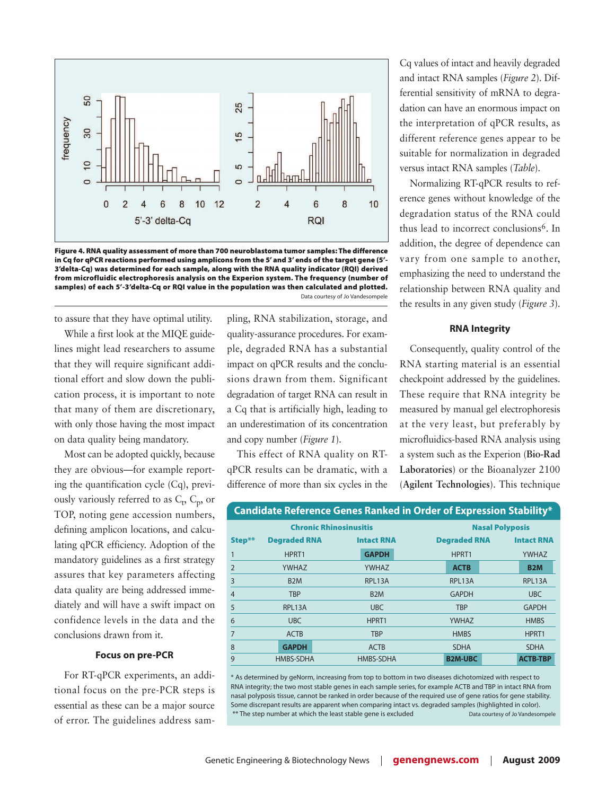

**Figure 4. RNA quality assessment of more than 700 neuroblastoma tumor samples: The difference in Cq for qPCR reactions performed using amplicons from the 5' and 3' ends of the target gene (5'- 3'delta-Cq) was determined for each sample, along with the RNA quality indicator (RQI) derived from microfluidic electrophoresis analysis on the Experion system. The frequency (number of samples) of each 5'-3'delta-Cq or RQI value in the population was then calculated and plotted.**  Data courtesy of Jo Vandesompele

to assure that they have optimal utility.

While a first look at the MIQE guidelines might lead researchers to assume that they will require significant additional effort and slow down the publication process, it is important to note that many of them are discretionary, with only those having the most impact on data quality being mandatory.

Most can be adopted quickly, because they are obvious—for example reporting the quantification cycle (Cq), previously variously referred to as  $C_{t}$ ,  $C_{p}$ , or TOP, noting gene accession numbers, defining amplicon locations, and calculating qPCR efficiency. Adoption of the mandatory guidelines as a first strategy assures that key parameters affecting data quality are being addressed immediately and will have a swift impact on confidence levels in the data and the conclusions drawn from it.

#### **Focus on pre-PCR**

For RT-qPCR experiments, an additional focus on the pre-PCR steps is essential as these can be a major source of error. The guidelines address sampling, RNA stabilization, storage, and quality-assurance procedures. For example, degraded RNA has a substantial impact on qPCR results and the conclusions drawn from them. Significant degradation of target RNA can result in a Cq that is artificially high, leading to an underestimation of its concentration and copy number (*Figure 1*).

This effect of RNA quality on RTqPCR results can be dramatic, with a difference of more than six cycles in the Cq values of intact and heavily degraded and intact RNA samples (*Figure 2*). Differential sensitivity of mRNA to degradation can have an enormous impact on the interpretation of qPCR results, as different reference genes appear to be suitable for normalization in degraded versus intact RNA samples (*Table*).

Normalizing RT-qPCR results to reference genes without knowledge of the degradation status of the RNA could thus lead to incorrect conclusions<sup>6</sup>. In addition, the degree of dependence can vary from one sample to another, emphasizing the need to understand the relationship between RNA quality and the results in any given study (*Figure 3*).

#### **RNA Integrity**

Consequently, quality control of the RNA starting material is an essential checkpoint addressed by the guidelines. These require that RNA integrity be measured by manual gel electrophoresis at the very least, but preferably by microfluidics-based RNA analysis using a system such as the Experion (**Bio-Rad Laboratories**) or the Bioanalyzer 2100 (**Agilent Technologies**). This technique

| Candidate Reference Genes Ranked in Order of Expression Stability* |                               |                   |                        |                   |
|--------------------------------------------------------------------|-------------------------------|-------------------|------------------------|-------------------|
|                                                                    | <b>Chronic Rhinosinusitis</b> |                   | <b>Nasal Polyposis</b> |                   |
| Step**                                                             | <b>Degraded RNA</b>           | <b>Intact RNA</b> | <b>Degraded RNA</b>    | <b>Intact RNA</b> |
|                                                                    | HPRT <sub>1</sub>             | <b>GAPDH</b>      | HPRT <sub>1</sub>      | <b>YWHAZ</b>      |
| $\overline{2}$                                                     | YWHAZ                         | <b>YWHAZ</b>      | <b>ACTB</b>            | <b>B2M</b>        |
| 3                                                                  | B <sub>2</sub> M              | RPL13A            | RPL13A                 | RPL13A            |
| $\overline{4}$                                                     | <b>TBP</b>                    | B <sub>2</sub> M  | <b>GAPDH</b>           | UBC.              |
| 5                                                                  | RPL13A                        | <b>UBC</b>        | <b>TBP</b>             | <b>GAPDH</b>      |
| 6                                                                  | <b>UBC</b>                    | HPRT <sub>1</sub> | <b>YWHAZ</b>           | <b>HMBS</b>       |
| 7                                                                  | <b>ACTB</b>                   | <b>TBP</b>        | <b>HMBS</b>            | HPRT <sub>1</sub> |
| 8                                                                  | <b>GAPDH</b>                  | <b>ACTB</b>       | <b>SDHA</b>            | <b>SDHA</b>       |
| 9                                                                  | <b>HMBS-SDHA</b>              | <b>HMBS-SDHA</b>  | <b>B2M-UBC</b>         | <b>ACTB-TBP</b>   |

\* As determined by geNorm, increasing from top to bottom in two diseases dichotomized with respect to RNA integrity; the two most stable genes in each sample series, for example ACTB and TBP in intact RNA from nasal polyposis tissue, cannot be ranked in order because of the required use of gene ratios for gene stability. Some discrepant results are apparent when comparing intact vs. degraded samples (highlighted in color). \*\* The step number at which the least stable gene is excluded Data courtesy of Jo Vandesompele